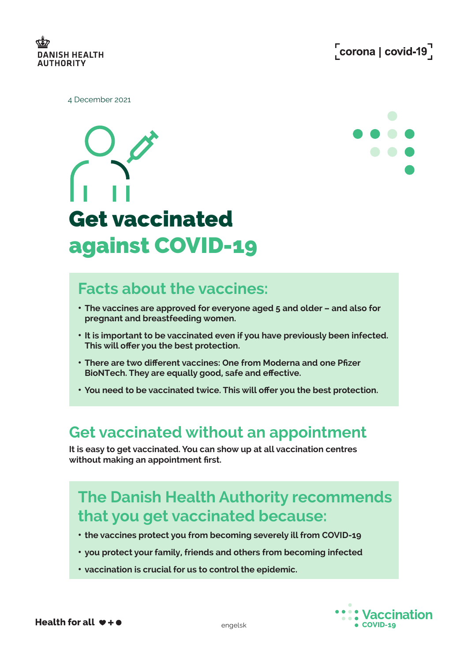

4 December 2021





#### **Facts about the vaccines:**

- **The vaccines are approved for everyone aged 5 and older and also for pregnant and breastfeeding women.**
- **It is important to be vaccinated even if you have previously been infected. This will offer you the best protection.**
- **There are two different vaccines: One from Moderna and one Pfizer BioNTech. They are equally good, safe and effective.**
- **You need to be vaccinated twice. This will offer you the best protection.**

#### **Get vaccinated without an appointment**

**It is easy to get vaccinated. You can show up at all vaccination centres without making an appointment first.**

## **The Danish Health Authority recommends that you get vaccinated because:**

- **the vaccines protect you from becoming severely ill from COVID-19**
- **you protect your family, friends and others from becoming infected**
- **vaccination is crucial for us to control the epidemic.**